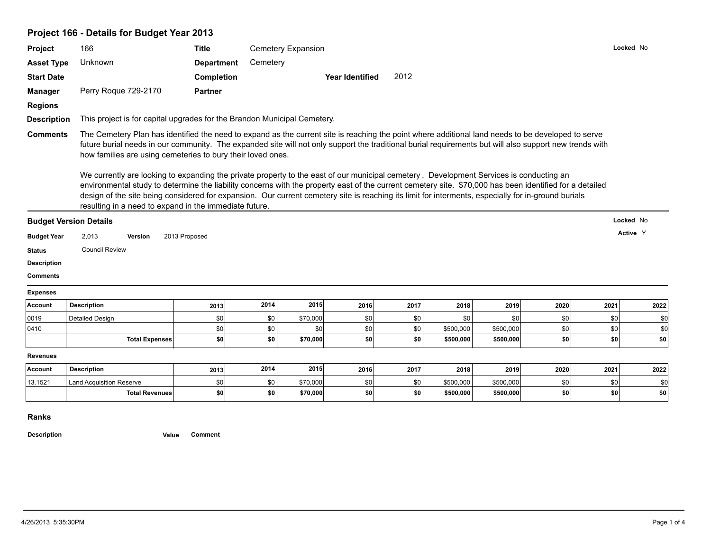# **Project 166 - Details for Budget Year 2013**

| <b>Project</b>                                                                   |                                                                                                                                                                                                                                                                                                                                                                                                                                                                                                                                                                                                                                                                                                                                                                                                                                            |                   |          |                    |                 |      |           |           |      |           |           |
|----------------------------------------------------------------------------------|--------------------------------------------------------------------------------------------------------------------------------------------------------------------------------------------------------------------------------------------------------------------------------------------------------------------------------------------------------------------------------------------------------------------------------------------------------------------------------------------------------------------------------------------------------------------------------------------------------------------------------------------------------------------------------------------------------------------------------------------------------------------------------------------------------------------------------------------|-------------------|----------|--------------------|-----------------|------|-----------|-----------|------|-----------|-----------|
|                                                                                  | 166                                                                                                                                                                                                                                                                                                                                                                                                                                                                                                                                                                                                                                                                                                                                                                                                                                        | <b>Title</b>      |          | Cemetery Expansion |                 |      |           |           |      |           | Locked No |
| <b>Asset Type</b>                                                                | Unknown                                                                                                                                                                                                                                                                                                                                                                                                                                                                                                                                                                                                                                                                                                                                                                                                                                    | <b>Department</b> | Cemetery |                    |                 |      |           |           |      |           |           |
| <b>Start Date</b>                                                                |                                                                                                                                                                                                                                                                                                                                                                                                                                                                                                                                                                                                                                                                                                                                                                                                                                            | Completion        |          |                    | Year Identified | 2012 |           |           |      |           |           |
| <b>Manager</b>                                                                   | Perry Roque 729-2170                                                                                                                                                                                                                                                                                                                                                                                                                                                                                                                                                                                                                                                                                                                                                                                                                       | <b>Partner</b>    |          |                    |                 |      |           |           |      |           |           |
| <b>Regions</b>                                                                   |                                                                                                                                                                                                                                                                                                                                                                                                                                                                                                                                                                                                                                                                                                                                                                                                                                            |                   |          |                    |                 |      |           |           |      |           |           |
| <b>Description</b>                                                               | This project is for capital upgrades for the Brandon Municipal Cemetery.                                                                                                                                                                                                                                                                                                                                                                                                                                                                                                                                                                                                                                                                                                                                                                   |                   |          |                    |                 |      |           |           |      |           |           |
| <b>Comments</b>                                                                  | The Cemetery Plan has identified the need to expand as the current site is reaching the point where additional land needs to be developed to serve<br>future burial needs in our community. The expanded site will not only support the traditional burial requirements but will also support new trends with<br>how families are using cemeteries to bury their loved ones.<br>We currently are looking to expanding the private property to the east of our municipal cemetery. Development Services is conducting an<br>environmental study to determine the liability concerns with the property east of the current cemetery site. \$70,000 has been identified for a detailed<br>design of the site being considered for expansion. Our current cemetery site is reaching its limit for interments, especially for in-ground burials |                   |          |                    |                 |      |           |           |      |           |           |
|                                                                                  |                                                                                                                                                                                                                                                                                                                                                                                                                                                                                                                                                                                                                                                                                                                                                                                                                                            |                   |          |                    |                 |      |           |           |      |           |           |
|                                                                                  | resulting in a need to expand in the immediate future.                                                                                                                                                                                                                                                                                                                                                                                                                                                                                                                                                                                                                                                                                                                                                                                     |                   |          |                    |                 |      |           |           |      |           |           |
|                                                                                  | <b>Budget Version Details</b>                                                                                                                                                                                                                                                                                                                                                                                                                                                                                                                                                                                                                                                                                                                                                                                                              |                   |          |                    |                 |      |           |           |      | Locked No |           |
|                                                                                  | 2,013<br>Version                                                                                                                                                                                                                                                                                                                                                                                                                                                                                                                                                                                                                                                                                                                                                                                                                           | 2013 Proposed     |          |                    |                 |      |           |           |      |           | Active Y  |
|                                                                                  | <b>Council Review</b>                                                                                                                                                                                                                                                                                                                                                                                                                                                                                                                                                                                                                                                                                                                                                                                                                      |                   |          |                    |                 |      |           |           |      |           |           |
| <b>Budget Year</b><br><b>Status</b><br><b>Description</b>                        |                                                                                                                                                                                                                                                                                                                                                                                                                                                                                                                                                                                                                                                                                                                                                                                                                                            |                   |          |                    |                 |      |           |           |      |           |           |
|                                                                                  |                                                                                                                                                                                                                                                                                                                                                                                                                                                                                                                                                                                                                                                                                                                                                                                                                                            |                   |          |                    |                 |      |           |           |      |           |           |
|                                                                                  |                                                                                                                                                                                                                                                                                                                                                                                                                                                                                                                                                                                                                                                                                                                                                                                                                                            |                   |          |                    |                 |      |           |           |      |           |           |
|                                                                                  | <b>Description</b>                                                                                                                                                                                                                                                                                                                                                                                                                                                                                                                                                                                                                                                                                                                                                                                                                         | 2013              | 2014     | 2015               | 2016            | 2017 | 2018      | 2019      | 2020 | 2021      | 2022      |
|                                                                                  | <b>Detailed Design</b>                                                                                                                                                                                                                                                                                                                                                                                                                                                                                                                                                                                                                                                                                                                                                                                                                     | \$0               | \$0      | \$70,000           | \$0             | \$0  | \$0       | \$0       | \$0  | \$0       | \$0       |
|                                                                                  |                                                                                                                                                                                                                                                                                                                                                                                                                                                                                                                                                                                                                                                                                                                                                                                                                                            | \$0               | \$0      | \$0                | \$0             | \$0  | \$500,000 | \$500,000 | \$0  | \$0       | \$0       |
|                                                                                  | <b>Total Expenses</b>                                                                                                                                                                                                                                                                                                                                                                                                                                                                                                                                                                                                                                                                                                                                                                                                                      | \$0               | \$0      | \$70,000           | \$0             | \$0  | \$500,000 | \$500,000 | \$0  | \$0       | \$0       |
| <b>Comments</b><br><b>Expenses</b><br>Account<br>0019<br>0410<br><b>Revenues</b> |                                                                                                                                                                                                                                                                                                                                                                                                                                                                                                                                                                                                                                                                                                                                                                                                                                            |                   |          |                    |                 |      |           |           |      |           |           |
|                                                                                  | <b>Description</b>                                                                                                                                                                                                                                                                                                                                                                                                                                                                                                                                                                                                                                                                                                                                                                                                                         | 2013              | 2014     | 2015               | 2016            | 2017 | 2018      | 2019      | 2020 | 2021      | 2022      |
| <b>Account</b><br>13.1521                                                        | <b>Land Acquisition Reserve</b>                                                                                                                                                                                                                                                                                                                                                                                                                                                                                                                                                                                                                                                                                                                                                                                                            | \$0               | \$0      | \$70,000           | \$0             | \$0  | \$500,000 | \$500,000 | \$0  | \$0       | \$0       |

**Description Value Comment**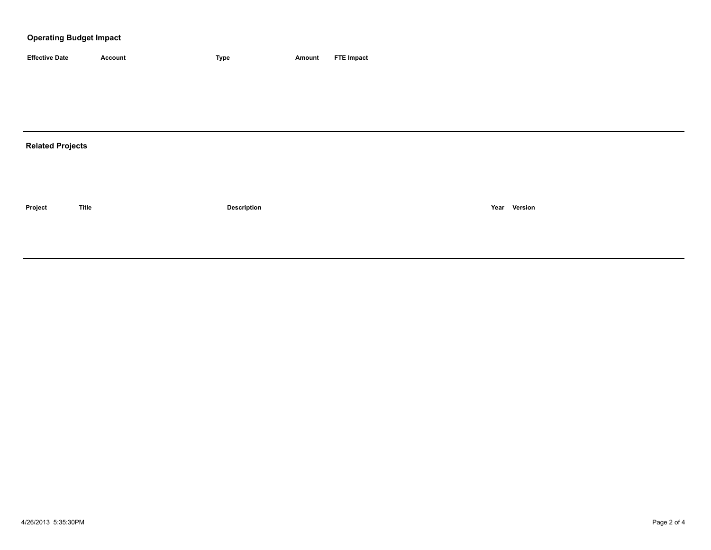### **Operating Budget Impact**

| <b>Effective Date</b>   | Account      | Type               | Amount | <b>FTE Impact</b> |
|-------------------------|--------------|--------------------|--------|-------------------|
|                         |              |                    |        |                   |
|                         |              |                    |        |                   |
|                         |              |                    |        |                   |
|                         |              |                    |        |                   |
| <b>Related Projects</b> |              |                    |        |                   |
|                         |              |                    |        |                   |
|                         |              |                    |        |                   |
|                         |              |                    |        |                   |
| Project                 | <b>Title</b> | <b>Description</b> |        | Year Version      |
|                         |              |                    |        |                   |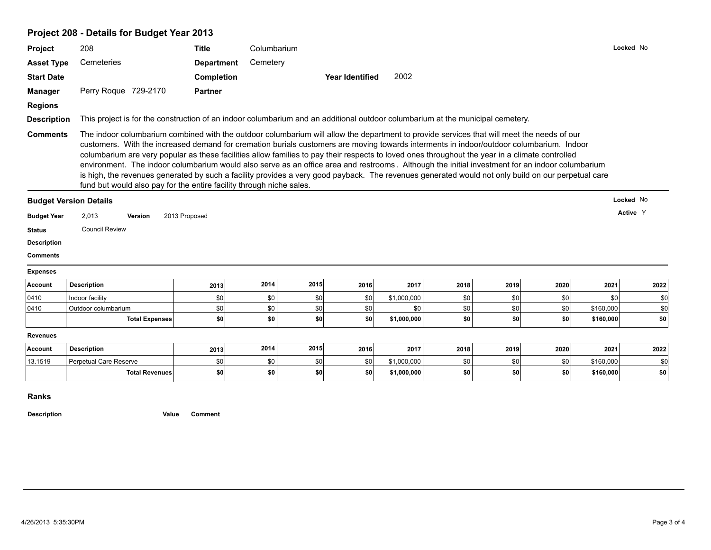## **Project 208 - Details for Budget Year 2013**

|                                                                                                      | 208                                                                                                                                                                                                                                                                                                                                                                                                                                                                                                                                                                                                                                                                                                                                                                                                                        | <b>Title</b>      | Columbarium |      |                        |             |      |      |      |           | Locked No |
|------------------------------------------------------------------------------------------------------|----------------------------------------------------------------------------------------------------------------------------------------------------------------------------------------------------------------------------------------------------------------------------------------------------------------------------------------------------------------------------------------------------------------------------------------------------------------------------------------------------------------------------------------------------------------------------------------------------------------------------------------------------------------------------------------------------------------------------------------------------------------------------------------------------------------------------|-------------------|-------------|------|------------------------|-------------|------|------|------|-----------|-----------|
| <b>Asset Type</b>                                                                                    | Cemeteries                                                                                                                                                                                                                                                                                                                                                                                                                                                                                                                                                                                                                                                                                                                                                                                                                 | <b>Department</b> | Cemetery    |      |                        |             |      |      |      |           |           |
| <b>Start Date</b>                                                                                    |                                                                                                                                                                                                                                                                                                                                                                                                                                                                                                                                                                                                                                                                                                                                                                                                                            | Completion        |             |      | <b>Year Identified</b> | 2002        |      |      |      |           |           |
| <b>Manager</b>                                                                                       | Perry Roque 729-2170                                                                                                                                                                                                                                                                                                                                                                                                                                                                                                                                                                                                                                                                                                                                                                                                       | <b>Partner</b>    |             |      |                        |             |      |      |      |           |           |
| <b>Regions</b>                                                                                       |                                                                                                                                                                                                                                                                                                                                                                                                                                                                                                                                                                                                                                                                                                                                                                                                                            |                   |             |      |                        |             |      |      |      |           |           |
| <b>Description</b>                                                                                   | This project is for the construction of an indoor columbarium and an additional outdoor columbarium at the municipal cemetery.                                                                                                                                                                                                                                                                                                                                                                                                                                                                                                                                                                                                                                                                                             |                   |             |      |                        |             |      |      |      |           |           |
| <b>Comments</b>                                                                                      | The indoor columbarium combined with the outdoor columbarium will allow the department to provide services that will meet the needs of our<br>customers. With the increased demand for cremation burials customers are moving towards interments in indoor/outdoor columbarium. Indoor<br>columbarium are very popular as these facilities allow families to pay their respects to loved ones throughout the year in a climate controlled<br>environment. The indoor columbarium would also serve as an office area and restrooms. Although the initial investment for an indoor columbarium<br>is high, the revenues generated by such a facility provides a very good payback. The revenues generated would not only build on our perpetual care<br>fund but would also pay for the entire facility through niche sales. |                   |             |      |                        |             |      |      |      |           |           |
|                                                                                                      | <b>Budget Version Details</b>                                                                                                                                                                                                                                                                                                                                                                                                                                                                                                                                                                                                                                                                                                                                                                                              |                   |             |      |                        |             |      |      |      |           | Locked No |
| <b>Budget Year</b>                                                                                   | 2,013<br><b>Version</b>                                                                                                                                                                                                                                                                                                                                                                                                                                                                                                                                                                                                                                                                                                                                                                                                    | 2013 Proposed     |             |      |                        |             |      |      |      |           | Active Y  |
|                                                                                                      |                                                                                                                                                                                                                                                                                                                                                                                                                                                                                                                                                                                                                                                                                                                                                                                                                            |                   |             |      |                        |             |      |      |      |           |           |
|                                                                                                      |                                                                                                                                                                                                                                                                                                                                                                                                                                                                                                                                                                                                                                                                                                                                                                                                                            |                   |             |      |                        |             |      |      |      |           |           |
|                                                                                                      | <b>Council Review</b>                                                                                                                                                                                                                                                                                                                                                                                                                                                                                                                                                                                                                                                                                                                                                                                                      |                   |             |      |                        |             |      |      |      |           |           |
|                                                                                                      |                                                                                                                                                                                                                                                                                                                                                                                                                                                                                                                                                                                                                                                                                                                                                                                                                            |                   |             |      |                        |             |      |      |      |           |           |
|                                                                                                      |                                                                                                                                                                                                                                                                                                                                                                                                                                                                                                                                                                                                                                                                                                                                                                                                                            |                   |             |      |                        |             |      |      |      |           |           |
|                                                                                                      | <b>Description</b>                                                                                                                                                                                                                                                                                                                                                                                                                                                                                                                                                                                                                                                                                                                                                                                                         | 2013              | 2014        | 2015 | 2016                   | 2017        | 2018 | 2019 | 2020 | 2021      | 2022      |
|                                                                                                      | Indoor facility                                                                                                                                                                                                                                                                                                                                                                                                                                                                                                                                                                                                                                                                                                                                                                                                            | \$0               | \$0         | \$0  | \$0                    | \$1,000,000 | \$0  | \$0  | \$0  | \$0       | \$0       |
|                                                                                                      | Outdoor columbarium                                                                                                                                                                                                                                                                                                                                                                                                                                                                                                                                                                                                                                                                                                                                                                                                        | \$0               | \$0         | \$0  | \$0                    | \$0         | \$0  | \$0  | \$0  | \$160,000 | \$0       |
| <b>Status</b><br><b>Description</b><br><b>Comments</b><br><b>Expenses</b><br>Account<br>0410<br>0410 | <b>Total Expenses</b>                                                                                                                                                                                                                                                                                                                                                                                                                                                                                                                                                                                                                                                                                                                                                                                                      | \$0               | \$0         | \$0  | \$0                    | \$1,000,000 | \$0  | \$0  | \$0  | \$160,000 | \$0       |
| <b>Revenues</b>                                                                                      |                                                                                                                                                                                                                                                                                                                                                                                                                                                                                                                                                                                                                                                                                                                                                                                                                            |                   |             |      |                        |             |      |      |      |           |           |
| Account                                                                                              | <b>Description</b>                                                                                                                                                                                                                                                                                                                                                                                                                                                                                                                                                                                                                                                                                                                                                                                                         | 2013              | 2014        | 2015 | 2016                   | 2017        | 2018 | 2019 | 2020 | 2021      | 2022      |
| 13.1519                                                                                              | Perpetual Care Reserve                                                                                                                                                                                                                                                                                                                                                                                                                                                                                                                                                                                                                                                                                                                                                                                                     | \$0               | \$0         | \$0  | \$0                    | \$1,000,000 | \$0  | \$0  | \$0  | \$160,000 | \$0       |

**Ranks**

**Description Value Comment**